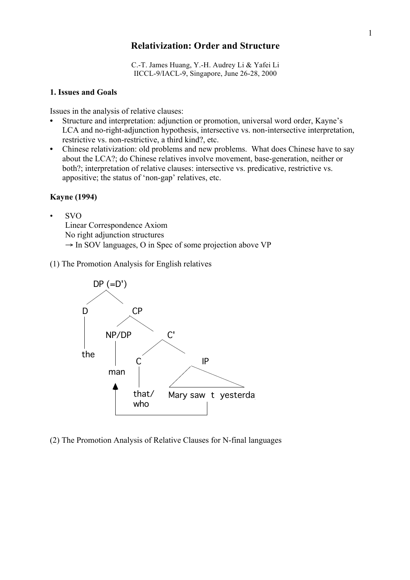# **Relativization: Order and Structure**

C.-T. James Huang, Y.-H. Audrey Li & Yafei Li IICCL-9/IACL-9, Singapore, June 26-28, 2000

### **1. Issues and Goals**

Issues in the analysis of relative clauses:

- **•** Structure and interpretation: adjunction or promotion, universal word order, Kayne's LCA and no-right-adjunction hypothesis, intersective vs. non-intersective interpretation, restrictive vs. non-restrictive, a third kind?, etc.
- **•** Chinese relativization: old problems and new problems. What does Chinese have to say about the LCA?; do Chinese relatives involve movement, base-generation, neither or both?; interpretation of relative clauses: intersective vs. predicative, restrictive vs. appositive; the status of 'non-gap' relatives, etc.

## **Kayne (1994)**

• SVO

Linear Correspondence Axiom

No right adjunction structures

- $\rightarrow$  In SOV languages, O in Spec of some projection above VP
- (1) The Promotion Analysis for English relatives



(2) The Promotion Analysis of Relative Clauses for N-final languages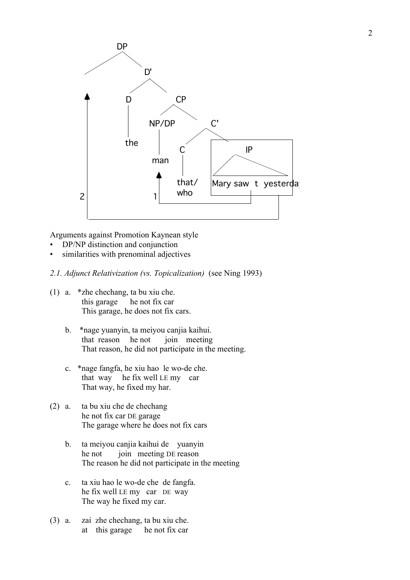

Arguments against Promotion Kaynean style

- DP/NP distinction and conjunction
- similarities with prenominal adjectives
- *2.1. Adjunct Relativization (vs. Topicalization)* (see Ning 1993)
- (1) a. \*zhe chechang, ta bu xiu che. this garage he not fix car This garage, he does not fix cars.
	- b. \*nage yuanyin, ta meiyou canjia kaihui. that reason he not join meeting That reason, he did not participate in the meeting.
	- c. \*nage fangfa, he xiu hao le wo-de che. that way he fix well LE my car That way, he fixed my har.
- (2) a. ta bu xiu che de chechang he not fix car DE garage The garage where he does not fix cars
	- b. ta meiyou canjia kaihui de yuanyin he not join meeting DE reason The reason he did not participate in the meeting
	- c. ta xiu hao le wo-de che de fangfa. he fix well LE my car DE way The way he fixed my car.
- (3) a. zai zhe chechang, ta bu xiu che. at this garage he not fix car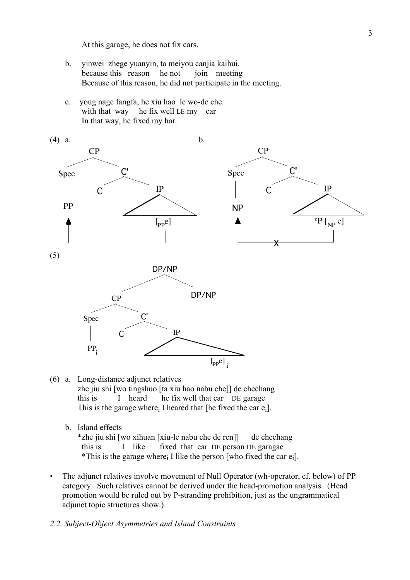At this garage, he does not fix cars.

- b. yinwei zhege yuanyin, ta meiyou canjia kaihui. because this reason he not join meeting Because of this reason, he did not participate in the meeting.
- c. youg nage fangfa, he xiu hao le wo-de che. with that way he fix well LE my car In that way, he fixed my har.



- (6) a. Long-distance adjunct relatives zhe jiu shi [wo tingshuo [ta xiu hao nabu che]] de chechang this is I heard he fix well that car DE garage This is the garage where I heared that [he fixed the car  $e_i$ ].
	- b. Island effects

\*zhe jiu shi [wo xihuan [xiu-le nabu che de ren]] de chechang this is I like fixed that car DE person DE garagae \*This is the garage where I like the person [who fixed the car  $e_i$ ].

- The adjunct relatives involve movement of Null Operator (wh-operator, cf. below) of PP category. Such relatives cannot be derived under the head-promotion analysis. (Head promotion would be ruled out by P-stranding prohibition, just as the ungrammatical adjunct topic structures show.)
- *2.2. Subject-Object Asymmetries and Island Constraints*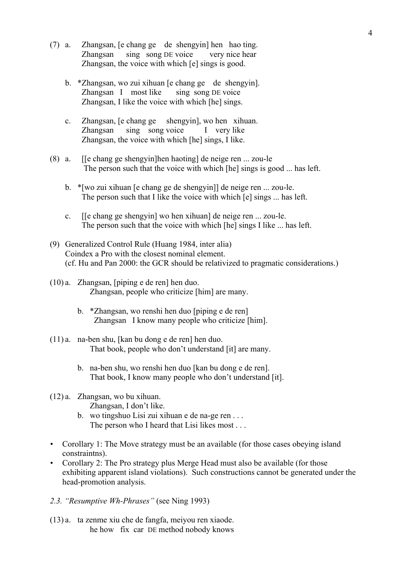- (7) a. Zhangsan, [e chang ge de shengyin] hen hao ting. Zhangsan sing song DE voice very nice hear Zhangsan, the voice with which [e] sings is good.
	- b. \*Zhangsan, wo zui xihuan [e chang ge de shengyin]. Zhangsan I most like sing song DE voice Zhangsan, I like the voice with which [he] sings.
	- c. Zhangsan, [e chang ge shengyin], wo hen xihuan. Zhangsan sing song voice I very like Zhangsan, the voice with which [he] sings, I like.
- (8) a. [[e chang ge shengyin]hen haoting] de neige ren ... zou-le The person such that the voice with which [he] sings is good ... has left.
	- b. \*[wo zui xihuan [e chang ge de shengyin]] de neige ren ... zou-le. The person such that I like the voice with which [e] sings ... has left.
	- c. [[e chang ge shengyin] wo hen xihuan] de neige ren ... zou-le. The person such that the voice with which [he] sings I like ... has left.
- (9) Generalized Control Rule (Huang 1984, inter alia) Coindex a Pro with the closest nominal element. (cf. Hu and Pan 2000: the GCR should be relativized to pragmatic considerations.)
- (10) a. Zhangsan, [piping e de ren] hen duo. Zhangsan, people who criticize [him] are many.
	- b. \*Zhangsan, wo renshi hen duo [piping e de ren] Zhangsan I know many people who criticize [him].
- (11) a. na-ben shu, [kan bu dong e de ren] hen duo. That book, people who don't understand [it] are many.
	- b. na-ben shu, wo renshi hen duo [kan bu dong e de ren]. That book, I know many people who don't understand [it].
- (12) a. Zhangsan, wo bu xihuan. Zhangsan, I don't like.
	- b. wo tingshuo Lisi zui xihuan e de na-ge ren . . . The person who I heard that Lisi likes most . . .
- *•* Corollary 1: The Move strategy must be an available (for those cases obeying island constraintns).
- *•* Corollary 2: The Pro strategy plus Merge Head must also be available (for those exhibiting apparent island violations). Such constructions cannot be generated under the head-promotion analysis.
- *2.3. "Resumptive Wh-Phrases"* (see Ning 1993)
- (13) a. ta zenme xiu che de fangfa, meiyou ren xiaode. he how fix car DE method nobody knows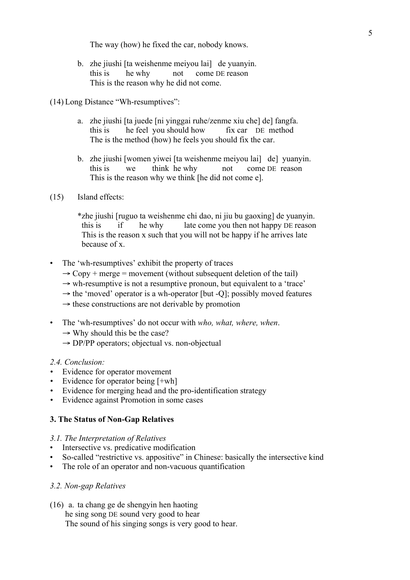The way (how) he fixed the car, nobody knows.

b. zhe jiushi [ta weishenme meiyou lai] de yuanyin. this is he why not come DE reason This is the reason why he did not come.

(14) Long Distance "Wh-resumptives":

- a. zhe jiushi [ta juede [ni yinggai ruhe/zenme xiu che] de] fangfa. this is he feel you should how fix car DE method The is the method (how) he feels you should fix the car.
- b. zhe jiushi [women yiwei [ta weishenme meiyou lai] de] yuanyin. this is we think he why not come DE reason This is the reason why we think [he did not come e].
- (15) Island effects:

\*zhe jiushi [ruguo ta weishenme chi dao, ni jiu bu gaoxing] de yuanyin. this is if he why late come you then not happy DE reason This is the reason x such that you will not be happy if he arrives late because of x.

- The 'wh-resumptives' exhibit the property of traces
	- $\rightarrow$  Copy + merge = movement (without subsequent deletion of the tail)
	- $\rightarrow$  wh-resumptive is not a resumptive pronoun, but equivalent to a 'trace'
	- $\rightarrow$  the 'moved' operator is a wh-operator [but -O]; possibly moved features
	- $\rightarrow$  these constructions are not derivable by promotion
- The 'wh-resumptives' do not occur with *who, what, where, when*.
	- $\rightarrow$  Why should this be the case?
	- $\rightarrow$  DP/PP operators; objectual vs. non-objectual

#### *2.4. Conclusion:*

- *•* Evidence for operator movement
- Evidence for operator being [+wh]
- *•* Evidence for merging head and the pro-identification strategy
- Evidence against Promotion in some cases

### **3. The Status of Non-Gap Relatives**

#### *3.1. The Interpretation of Relatives*

- Intersective vs. predicative modification
- So-called "restrictive vs. appositive" in Chinese: basically the intersective kind
- The role of an operator and non-vacuous quantification

## *3.2. Non-gap Relatives*

(16) a. ta chang ge de shengyin hen haoting he sing song DE sound very good to hear The sound of his singing songs is very good to hear.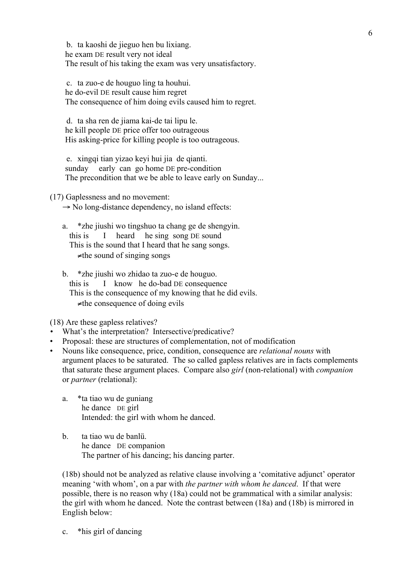b. ta kaoshi de jieguo hen bu lixiang. he exam DE result very not ideal The result of his taking the exam was very unsatisfactory.

 c. ta zuo-e de houguo ling ta houhui. he do-evil DE result cause him regret The consequence of him doing evils caused him to regret.

 d. ta sha ren de jiama kai-de tai lipu le. he kill people DE price offer too outrageous His asking-price for killing people is too outrageous.

 e. xingqi tian yizao keyi hui jia de qianti. sunday early can go home DE pre-condition The precondition that we be able to leave early on Sunday...

(17) Gaplessness and no movement:

 $\rightarrow$  No long-distance dependency, no island effects:

a. \*zhe jiushi wo tingshuo ta chang ge de shengyin. this is I heard he sing song DE sound This is the sound that I heard that he sang songs. ≠the sound of singing songs

b. \*zhe jiushi wo zhidao ta zuo-e de houguo. this is I know he do-bad DE consequence This is the consequence of my knowing that he did evils.  $\neq$ the consequence of doing evils

(18) Are these gapless relatives?

- *•* What's the interpretation? Intersective/predicative?
- Proposal: these are structures of complementation, not of modification
- Nouns like consequence, price, condition, consequence are *relational nouns* with argument places to be saturated. The so called gapless relatives are in facts complements that saturate these argument places. Compare also *girl* (non-relational) with *companion* or *partner* (relational):
	- a. \*ta tiao wu de guniang he dance DE girl Intended: the girl with whom he danced.
	- b. ta tiao wu de banlü. he dance DE companion The partner of his dancing; his dancing parter.

(18b) should not be analyzed as relative clause involving a 'comitative adjunct' operator meaning 'with whom', on a par with *the partner with whom he danced*. If that were possible, there is no reason why (18a) could not be grammatical with a similar analysis: the girl with whom he danced. Note the contrast between (18a) and (18b) is mirrored in English below:

c. \*his girl of dancing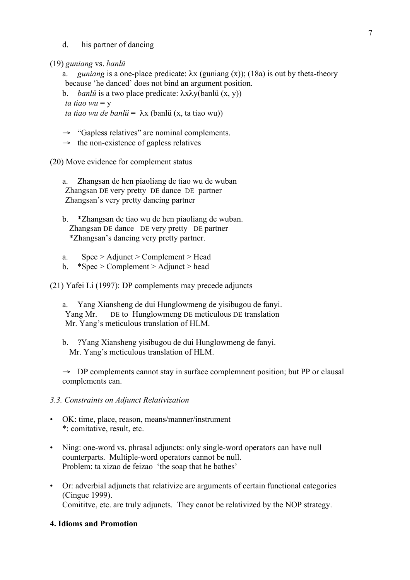d. his partner of dancing

(19) *guniang* vs. *banlü*

a. *guniang* is a one-place predicate:  $\lambda x$  (guniang (x)); (18a) is out by theta-theory because 'he danced' does not bind an argument position.

b. *banlü* is a two place predicate: λxλy(banlü (x, y)) *ta tiao*  $wu = v$ 

*ta tiao wu de banlü* = λx (banlü (x, ta tiao wu))

 $\rightarrow$  "Gapless relatives" are nominal complements.

 $\rightarrow$  the non-existence of gapless relatives

(20) Move evidence for complement status

a. Zhangsan de hen piaoliang de tiao wu de wuban Zhangsan DE very pretty DE dance DE partner Zhangsan's very pretty dancing partner

b. \*Zhangsan de tiao wu de hen piaoliang de wuban. Zhangsan DE dance DE very pretty DE partner \*Zhangsan's dancing very pretty partner.

- a. Spec > Adjunct > Complement > Head
- b.  $*Spec > Complement > Adjunct > head$

(21) Yafei Li (1997): DP complements may precede adjuncts

a. Yang Xiansheng de dui Hunglowmeng de yisibugou de fanyi. Yang Mr. DE to Hunglowmeng DE meticulous DE translation Mr. Yang's meticulous translation of HLM.

b. ?Yang Xiansheng yisibugou de dui Hunglowmeng de fanyi. Mr. Yang's meticulous translation of HLM.

 $\rightarrow$  DP complements cannot stay in surface complement position; but PP or clausal complements can.

## *3.3. Constraints on Adjunct Relativization*

- OK: time, place, reason, means/manner/instrument \*: comitative, result, etc.
- Ning: one-word vs. phrasal adjuncts: only single-word operators can have null counterparts. Multiple-word operators cannot be null. Problem: ta xizao de feizao 'the soap that he bathes'
- Or: adverbial adjuncts that relativize are arguments of certain functional categories (Cingue 1999). Comititve, etc. are truly adjuncts. They canot be relativized by the NOP strategy.

## **4. Idioms and Promotion**